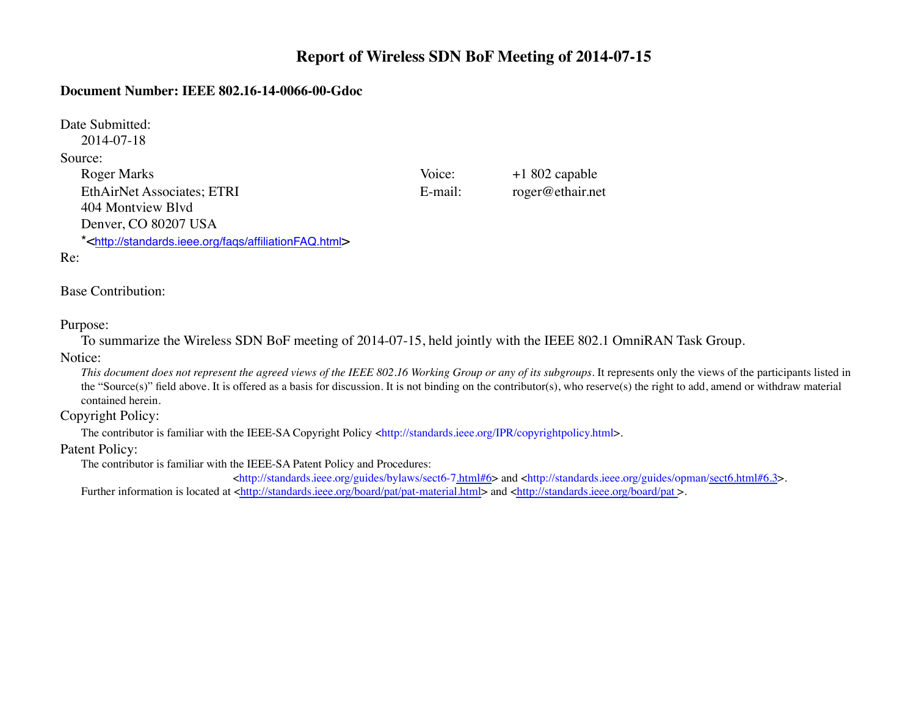# **Report of Wireless SDN BoF Meeting of 2014-07-15**

## **Document Number: IEEE 802.16-14-0066-00-Gdoc**

Date Submitted: 2014-07-18 Source: Roger Marks Voice: +1 802 capable EthAirNet Associates; ETRI E-mail: roger@ethair.net 404 Montview Blvd Denver, CO 80207 USA

\*<http://standards.ieee.org/faqs/affiliationFAQ.html>

#### Re:

## Base Contribution:

#### Purpose:

To summarize the Wireless SDN BoF meeting of 2014-07-15, held jointly with the IEEE 802.1 OmniRAN Task Group.

#### Notice:

*This document does not represent the agreed views of the IEEE 802.16 Working Group or any of its subgroups*. It represents only the views of the participants listed in the "Source(s)" field above. It is offered as a basis for discussion. It is not binding on the contributor(s), who reserve(s) the right to add, amend or withdraw material contained herein.

## Copyright Policy:

The contributor is familiar with the IEEE-SA Copyright Policy <http://standards.ieee.org/IPR/copyrightpolicy.html>.

#### Patent Policy:

The contributor is familiar with the IEEE-SA Patent Policy and Procedures:

<http://standards.ieee.org/guides/bylaws/sect6-7.html#6> and <http://standards.ieee.org/guides/opman/sect6.html#6.3>. Further information is located at <http://standards.ieee.org/board/pat/pat-material.html> and <http://standards.ieee.org/board/pat>.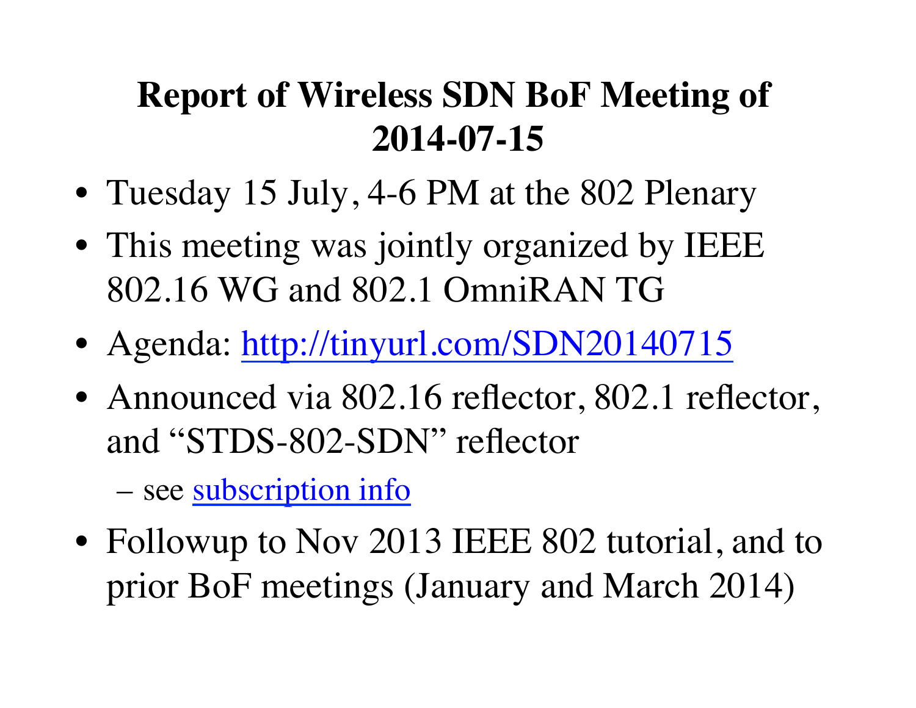# **Report of Wireless SDN BoF Meeting of 2014-07-15**

- Tuesday 15 July, 4-6 PM at the 802 Plenary
- This meeting was jointly organized by IEEE 802.16 WG and 802.1 OmniRAN TG
- Agenda: http://tinyurl.com/SDN20140715
- Announced via 802.16 reflector, 802.1 reflector, and "STDS-802-SDN" reflector

– see [subscription info](https://listserv.ieee.org/cgi-bin/wa?SUBED1=STDS-802-sdn)

• Followup to Nov 2013 IEEE 802 tutorial, and to prior BoF meetings (January and March 2014)